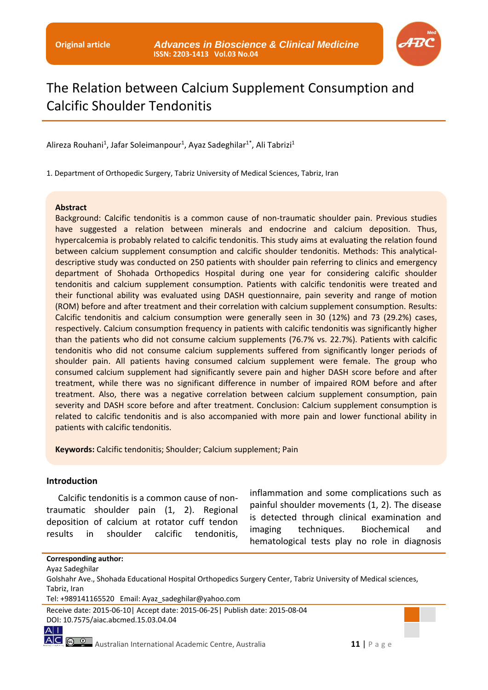

# The Relation between Calcium Supplement Consumption and Calcific Shoulder Tendonitis

Alireza Rouhani<sup>1</sup>, Jafar Soleimanpour<sup>1</sup>, Ayaz Sadeghilar<sup>1\*</sup>, Ali Tabrizi<sup>1</sup>

1. Department of Orthopedic Surgery, Tabriz University of Medical Sciences, Tabriz, Iran

#### **Abstract**

Background: Calcific tendonitis is a common cause of non-traumatic shoulder pain. Previous studies have suggested a relation between minerals and endocrine and calcium deposition. Thus, hypercalcemia is probably related to calcific tendonitis. This study aims at evaluating the relation found between calcium supplement consumption and calcific shoulder tendonitis. Methods: This analyticaldescriptive study was conducted on 250 patients with shoulder pain referring to clinics and emergency department of Shohada Orthopedics Hospital during one year for considering calcific shoulder tendonitis and calcium supplement consumption. Patients with calcific tendonitis were treated and their functional ability was evaluated using DASH questionnaire, pain severity and range of motion (ROM) before and after treatment and their correlation with calcium supplement consumption. Results: Calcific tendonitis and calcium consumption were generally seen in 30 (12%) and 73 (29.2%) cases, respectively. Calcium consumption frequency in patients with calcific tendonitis was significantly higher than the patients who did not consume calcium supplements (76.7% vs. 22.7%). Patients with calcific tendonitis who did not consume calcium supplements suffered from significantly longer periods of shoulder pain. All patients having consumed calcium supplement were female. The group who consumed calcium supplement had significantly severe pain and higher DASH score before and after treatment, while there was no significant difference in number of impaired ROM before and after treatment. Also, there was a negative correlation between calcium supplement consumption, pain severity and DASH score before and after treatment. Conclusion: Calcium supplement consumption is related to calcific tendonitis and is also accompanied with more pain and lower functional ability in patients with calcific tendonitis.

**Keywords:** Calcific tendonitis; Shoulder; Calcium supplement; Pain

#### **Introduction**

Calcific tendonitis is a common cause of nontraumatic shoulder pain (1, 2). Regional deposition of calcium at rotator cuff tendon results in shoulder calcific tendonitis,

inflammation and some complications such as painful shoulder movements (1, 2). The disease is detected through clinical examination and imaging techniques. Biochemical and hematological tests play no role in diagnosis

#### **Corresponding author:**

Ayaz Sadeghilar

Receive date: 2015-06-10| Accept date: 2015-06-25| Publish date: 2015-08-04 DOI: 10.7575/aiac.abcmed.15.03.04.04

 $A$ |

Golshahr Ave., Shohada Educational Hospital Orthopedics Surgery Center, Tabriz University of Medical sciences, Tabriz, Iran

Tel: +989141165520 Email: Ayaz\_sadeghilar@yahoo.com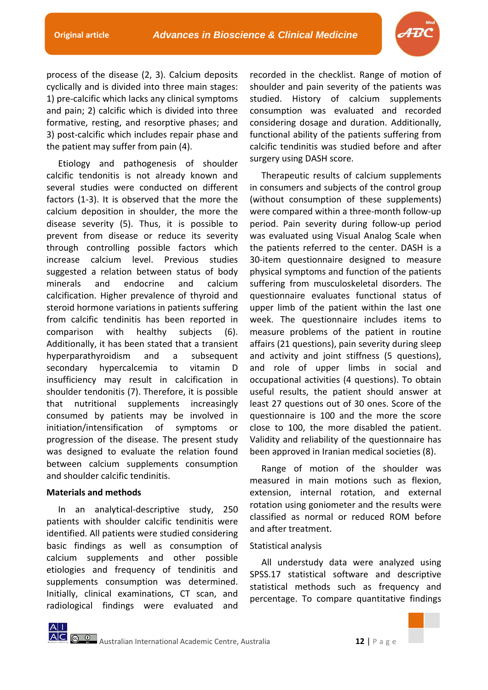

process of the disease (2, 3). Calcium deposits cyclically and is divided into three main stages: 1) pre-calcific which lacks any clinical symptoms and pain; 2) calcific which is divided into three formative, resting, and resorptive phases; and 3) post-calcific which includes repair phase and the patient may suffer from pain (4).

Etiology and pathogenesis of shoulder calcific tendonitis is not already known and several studies were conducted on different factors (1-3). It is observed that the more the calcium deposition in shoulder, the more the disease severity (5). Thus, it is possible to prevent from disease or reduce its severity through controlling possible factors which increase calcium level. Previous studies suggested a relation between status of body minerals and endocrine and calcium calcification. Higher prevalence of thyroid and steroid hormone variations in patients suffering from calcific tendinitis has been reported in comparison with healthy subjects (6). Additionally, it has been stated that a transient hyperparathyroidism and a subsequent secondary hypercalcemia to vitamin D insufficiency may result in calcification in shoulder tendonitis (7). Therefore, it is possible that nutritional supplements increasingly consumed by patients may be involved in initiation/intensification of symptoms or progression of the disease. The present study was designed to evaluate the relation found between calcium supplements consumption and shoulder calcific tendinitis.

#### **Materials and methods**

In an analytical-descriptive study, 250 patients with shoulder calcific tendinitis were identified. All patients were studied considering basic findings as well as consumption of calcium supplements and other possible etiologies and frequency of tendinitis and supplements consumption was determined. Initially, clinical examinations, CT scan, and radiological findings were evaluated and

recorded in the checklist. Range of motion of shoulder and pain severity of the patients was studied. History of calcium supplements consumption was evaluated and recorded considering dosage and duration. Additionally, functional ability of the patients suffering from calcific tendinitis was studied before and after surgery using DASH score.

Therapeutic results of calcium supplements in consumers and subjects of the control group (without consumption of these supplements) were compared within a three-month follow-up period. Pain severity during follow-up period was evaluated using Visual Analog Scale when the patients referred to the center. DASH is a 30-item questionnaire designed to measure physical symptoms and function of the patients suffering from musculoskeletal disorders. The questionnaire evaluates functional status of upper limb of the patient within the last one week. The questionnaire includes items to measure problems of the patient in routine affairs (21 questions), pain severity during sleep and activity and joint stiffness (5 questions), and role of upper limbs in social and occupational activities (4 questions). To obtain useful results, the patient should answer at least 27 questions out of 30 ones. Score of the questionnaire is 100 and the more the score close to 100, the more disabled the patient. Validity and reliability of the questionnaire has been approved in Iranian medical societies (8).

Range of motion of the shoulder was measured in main motions such as flexion, extension, internal rotation, and external rotation using goniometer and the results were classified as normal or reduced ROM before and after treatment.

# Statistical analysis

All understudy data were analyzed using SPSS.17 statistical software and descriptive statistical methods such as frequency and percentage. To compare quantitative findings

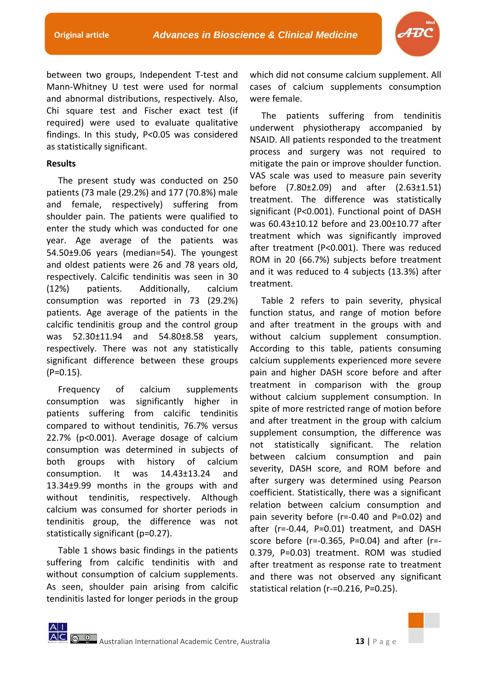

between two groups, Independent T-test and Mann-Whitney U test were used for normal and abnormal distributions, respectively. Also, Chi square test and Fischer exact test (if required) were used to evaluate qualitative findings. In this study, P<0.05 was considered as statistically significant.

### **Results**

The present study was conducted on 250 patients (73 male (29.2%) and 177 (70.8%) male and female, respectively) suffering from shoulder pain. The patients were qualified to enter the study which was conducted for one year. Age average of the patients was 54.50±9.06 years (median=54). The youngest and oldest patients were 26 and 78 years old, respectively. Calcific tendinitis was seen in 30 (12%) patients. Additionally, calcium consumption was reported in 73 (29.2%) patients. Age average of the patients in the calcific tendinitis group and the control group was 52.30±11.94 and 54.80±8.58 years, respectively. There was not any statistically significant difference between these groups (P=0.15).

Frequency of calcium supplements consumption was significantly higher in patients suffering from calcific tendinitis compared to without tendinitis, 76.7% versus 22.7% (p<0.001). Average dosage of calcium consumption was determined in subjects of both groups with history of calcium consumption. It was 14.43±13.24 and 13.34±9.99 months in the groups with and without tendinitis, respectively. Although calcium was consumed for shorter periods in tendinitis group, the difference was not statistically significant (p=0.27).

Table 1 shows basic findings in the patients suffering from calcific tendinitis with and without consumption of calcium supplements. As seen, shoulder pain arising from calcific tendinitis lasted for longer periods in the group

which did not consume calcium supplement. All cases of calcium supplements consumption were female.

The patients suffering from tendinitis underwent physiotherapy accompanied by NSAID. All patients responded to the treatment process and surgery was not required to mitigate the pain or improve shoulder function. VAS scale was used to measure pain severity before (7.80±2.09) and after (2.63±1.51) treatment. The difference was statistically significant (P<0.001). Functional point of DASH was 60.43±10.12 before and 23.00±10.77 after treatment which was significantly improved after treatment (P<0.001). There was reduced ROM in 20 (66.7%) subjects before treatment and it was reduced to 4 subjects (13.3%) after treatment.

Table 2 refers to pain severity, physical function status, and range of motion before and after treatment in the groups with and without calcium supplement consumption. According to this table, patients consuming calcium supplements experienced more severe pain and higher DASH score before and after treatment in comparison with the group without calcium supplement consumption. In spite of more restricted range of motion before and after treatment in the group with calcium supplement consumption, the difference was not statistically significant. The relation between calcium consumption and pain severity, DASH score, and ROM before and after surgery was determined using Pearson coefficient. Statistically, there was a significant relation between calcium consumption and pain severity before (r=-0.40 and P=0.02) and after (r=-0.44, P=0.01) treatment, and DASH score before (r=-0.365, P=0.04) and after (r=- 0.379, P=0.03) treatment. ROM was studied after treatment as response rate to treatment and there was not observed any significant statistical relation (r-=0.216, P=0.25).

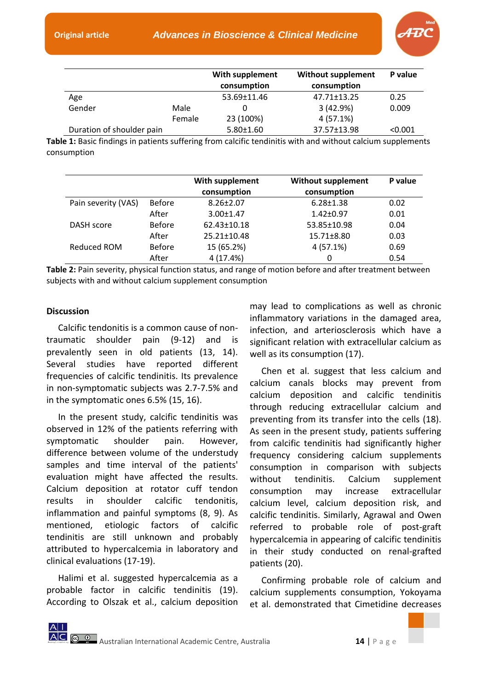

|                           |        | With supplement<br>consumption | <b>Without supplement</b><br>consumption | P value |
|---------------------------|--------|--------------------------------|------------------------------------------|---------|
| Age                       |        | 53.69±11.46                    | 47.71±13.25                              | 0.25    |
| Gender                    | Male   |                                | 3(42.9%)                                 | 0.009   |
|                           | Female | 23 (100%)                      | 4(57.1%)                                 |         |
| Duration of shoulder pain |        | $5.80 \pm 1.60$                | 37.57±13.98                              | < 0.001 |

**Table 1:** Basic findings in patients suffering from calcific tendinitis with and without calcium supplements consumption

|                     |               | With supplement<br>consumption | <b>Without supplement</b><br>consumption | P value |
|---------------------|---------------|--------------------------------|------------------------------------------|---------|
| Pain severity (VAS) | Before        | $8.26 \pm 2.07$                | $6.28 \pm 1.38$                          | 0.02    |
|                     | After         | $3.00 \pm 1.47$                | $1.42 \pm 0.97$                          | 0.01    |
| DASH score          | <b>Before</b> | $62.43 \pm 10.18$              | 53.85±10.98                              | 0.04    |
|                     | After         | $25.21 \pm 10.48$              | 15.71±8.80                               | 0.03    |
| Reduced ROM         | <b>Before</b> | 15 (65.2%)                     | 4(57.1%)                                 | 0.69    |
|                     | After         | 4 (17.4%)                      | 0                                        | 0.54    |

**Table 2:** Pain severity, physical function status, and range of motion before and after treatment between subjects with and without calcium supplement consumption

## **Discussion**

Calcific tendonitis is a common cause of nontraumatic shoulder pain (9-12) and is prevalently seen in old patients (13, 14). Several studies have reported different frequencies of calcific tendinitis. Its prevalence in non-symptomatic subjects was 2.7-7.5% and in the symptomatic ones 6.5% (15, 16).

In the present study, calcific tendinitis was observed in 12% of the patients referring with symptomatic shoulder pain. However, difference between volume of the understudy samples and time interval of the patients' evaluation might have affected the results. Calcium deposition at rotator cuff tendon results in shoulder calcific tendonitis, inflammation and painful symptoms (8, 9). As mentioned, etiologic factors of calcific tendinitis are still unknown and probably attributed to hypercalcemia in laboratory and clinical evaluations (17-19).

Halimi et al. suggested hypercalcemia as a probable factor in calcific tendinitis (19). According to Olszak et al., calcium deposition

may lead to complications as well as chronic inflammatory variations in the damaged area, infection, and arteriosclerosis which have a significant relation with extracellular calcium as well as its consumption (17).

Chen et al. suggest that less calcium and calcium canals blocks may prevent from calcium deposition and calcific tendinitis through reducing extracellular calcium and preventing from its transfer into the cells (18). As seen in the present study, patients suffering from calcific tendinitis had significantly higher frequency considering calcium supplements consumption in comparison with subjects without tendinitis. Calcium supplement consumption may increase extracellular calcium level, calcium deposition risk, and calcific tendinitis. Similarly, Agrawal and Owen referred to probable role of post-graft hypercalcemia in appearing of calcific tendinitis in their study conducted on renal-grafted patients (20).

Confirming probable role of calcium and calcium supplements consumption, Yokoyama et al. demonstrated that Cimetidine decreases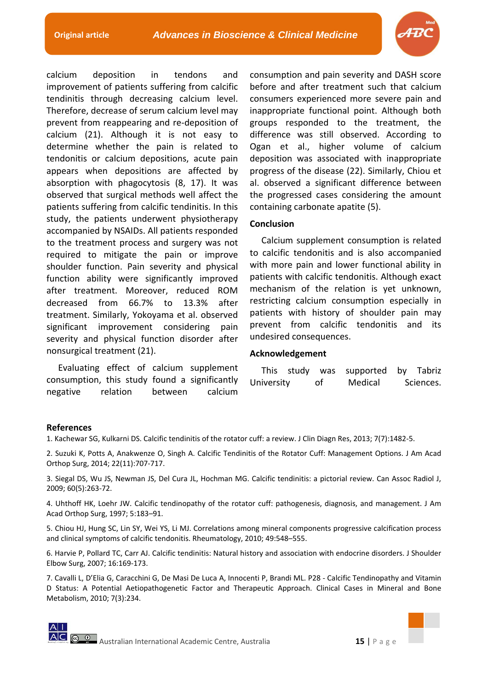

calcium deposition in tendons and improvement of patients suffering from calcific tendinitis through decreasing calcium level. Therefore, decrease of serum calcium level may prevent from reappearing and re-deposition of calcium (21). Although it is not easy to determine whether the pain is related to tendonitis or calcium depositions, acute pain appears when depositions are affected by absorption with phagocytosis (8, 17). It was observed that surgical methods well affect the patients suffering from calcific tendinitis. In this study, the patients underwent physiotherapy accompanied by NSAIDs. All patients responded to the treatment process and surgery was not required to mitigate the pain or improve shoulder function. Pain severity and physical function ability were significantly improved after treatment. Moreover, reduced ROM decreased from 66.7% to 13.3% after treatment. Similarly, Yokoyama et al. observed significant improvement considering pain severity and physical function disorder after nonsurgical treatment (21).

Evaluating effect of calcium supplement consumption, this study found a significantly negative relation between calcium

consumption and pain severity and DASH score before and after treatment such that calcium consumers experienced more severe pain and inappropriate functional point. Although both groups responded to the treatment, the difference was still observed. According to Ogan et al., higher volume of calcium deposition was associated with inappropriate progress of the disease (22). Similarly, Chiou et al. observed a significant difference between the progressed cases considering the amount containing carbonate apatite (5).

# **Conclusion**

Calcium supplement consumption is related to calcific tendonitis and is also accompanied with more pain and lower functional ability in patients with calcific tendonitis. Although exact mechanism of the relation is yet unknown, restricting calcium consumption especially in patients with history of shoulder pain may prevent from calcific tendonitis and its undesired consequences.

#### **Acknowledgement**

|            |     | This study was supported by Tabriz |           |
|------------|-----|------------------------------------|-----------|
| University | .of | Medical                            | Sciences. |

#### **References**

1. Kachewar SG, Kulkarni DS. Calcific tendinitis of the rotator cuff: a review. J Clin Diagn Res, 2013; 7(7):1482-5.

2. Suzuki K, Potts A, Anakwenze O, Singh A. Calcific Tendinitis of the Rotator Cuff: Management Options. J Am Acad Orthop Surg, 2014; 22(11):707-717.

3. Siegal DS, Wu JS, Newman JS, Del Cura JL, Hochman MG. Calcific tendinitis: a pictorial review. Can Assoc Radiol J, 2009; 60(5):263-72.

4. Uhthoff HK, Loehr JW. Calcific tendinopathy of the rotator cuff: pathogenesis, diagnosis, and management. J Am Acad Orthop Surg, 1997; 5:183–91.

5. Chiou HJ, Hung SC, Lin SY, Wei YS, Li MJ. Correlations among mineral components progressive calcification process and clinical symptoms of calcific tendonitis. Rheumatology, 2010; 49:548–555.

6. Harvie P, Pollard TC, Carr AJ. Calcific tendinitis: Natural history and association with endocrine disorders. J Shoulder Elbow Surg, 2007; 16:169-173.

7. Cavalli L, D'Elia G, Caracchini G, De Masi De Luca A, Innocenti P, Brandi ML. P28 - Calcific Tendinopathy and Vitamin D Status: A Potential Aetiopathogenetic Factor and Therapeutic Approach. Clinical Cases in Mineral and Bone Metabolism, 2010; 7(3):234.